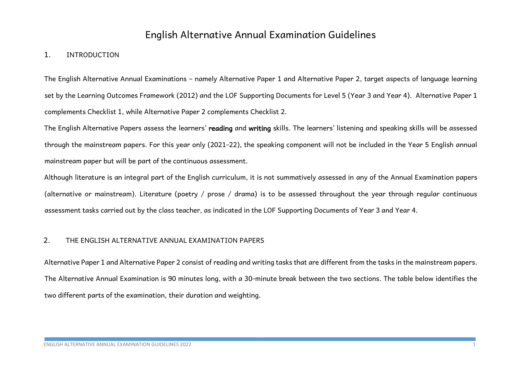# English Alternative Annual Examination Guidelines

## 1. INTRODUCTION

The English Alternative Annual Examinations – namely Alternative Paper 1 and Alternative Paper 2, target aspects of language learning set by the Learning Outcomes Framework (2012) and the LOF Supporting Documents for Level 5 (Year 3 and Year 4). Alternative Paper 1 complements Checklist 1, while Alternative Paper 2 complements Checklist 2.

The English Alternative Papers assess the learners' reading and writing skills. The learners' listening and speaking skills will be assessed through the mainstream papers. For this year only (2021-22), the speaking component will not be included in the Year 5 English annual mainstream paper but will be part of the continuous assessment.

Although literature is an integral part of the English curriculum, it is not summatively assessed in any of the Annual Examination papers (alternative or mainstream). Literature (poetry / prose / drama) is to be assessed throughout the year through regular continuous assessment tasks carried out by the class teacher, as indicated in the LOF Supporting Documents of Year 3 and Year 4.

## 2. THE ENGLISH ALTERNATIVE ANNUAL EXAMINATION PAPERS

Alternative Paper 1 and Alternative Paper 2 consist of reading and writing tasks that are different from the tasks in the mainstream papers. The Alternative Annual Examination is 90 minutes long, with a 30-minute break between the two sections. The table below identifies the two different parts of the examination, their duration and weighting.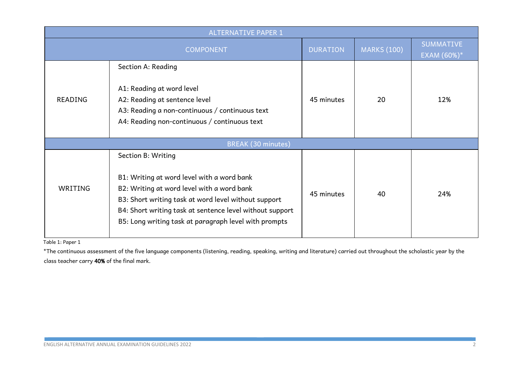| <b>ALTERNATIVE PAPER 1</b> |                                                                                                                                                                                                                                                                                             |                 |                    |                                 |  |
|----------------------------|---------------------------------------------------------------------------------------------------------------------------------------------------------------------------------------------------------------------------------------------------------------------------------------------|-----------------|--------------------|---------------------------------|--|
| <b>COMPONENT</b>           |                                                                                                                                                                                                                                                                                             | <b>DURATION</b> | <b>MARKS (100)</b> | <b>SUMMATIVE</b><br>EXAM (60%)* |  |
| <b>READING</b>             | Section A: Reading<br>A1: Reading at word level<br>A2: Reading at sentence level<br>A3: Reading a non-continuous / continuous text<br>A4: Reading non-continuous / continuous text                                                                                                          | 45 minutes      | 20                 | 12%                             |  |
| <b>BREAK (30 minutes)</b>  |                                                                                                                                                                                                                                                                                             |                 |                    |                                 |  |
| WRITING                    | Section B: Writing<br>B1: Writing at word level with a word bank<br>B2: Writing at word level with a word bank<br>B3: Short writing task at word level without support<br>B4: Short writing task at sentence level without support<br>B5: Long writing task at paragraph level with prompts | 45 minutes      | 40                 | 24%                             |  |

Table 1: Paper 1

\*The continuous assessment of the five language components (listening, reading, speaking, writing and literature) carried out throughout the scholastic year by the class teacher carry 40% of the final mark.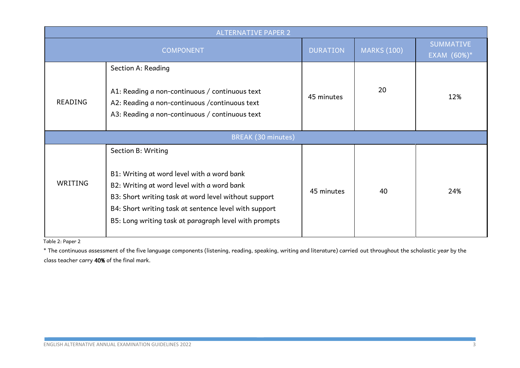| <b>ALTERNATIVE PAPER 2</b> |                                                                                                                                                                                                                                                                                          |                 |                    |                                    |  |  |
|----------------------------|------------------------------------------------------------------------------------------------------------------------------------------------------------------------------------------------------------------------------------------------------------------------------------------|-----------------|--------------------|------------------------------------|--|--|
| <b>COMPONENT</b>           |                                                                                                                                                                                                                                                                                          | <b>DURATION</b> | <b>MARKS (100)</b> | <b>SUMMATIVE</b><br>EXAM $(60%)^*$ |  |  |
| READING                    | Section A: Reading<br>A1: Reading a non-continuous / continuous text<br>A2: Reading a non-continuous / continuous text<br>A3: Reading a non-continuous / continuous text                                                                                                                 | 45 minutes      | 20                 | 12%                                |  |  |
| <b>BREAK (30 minutes)</b>  |                                                                                                                                                                                                                                                                                          |                 |                    |                                    |  |  |
| WRITING                    | Section B: Writing<br>B1: Writing at word level with a word bank<br>B2: Writing at word level with a word bank<br>B3: Short writing task at word level without support<br>B4: Short writing task at sentence level with support<br>B5: Long writing task at paragraph level with prompts | 45 minutes      | 40                 | 24%                                |  |  |

Table 2: Paper 2

\* The continuous assessment of the five language components (listening, reading, speaking, writing and literature) carried out throughout the scholastic year by the class teacher carry 40% of the final mark.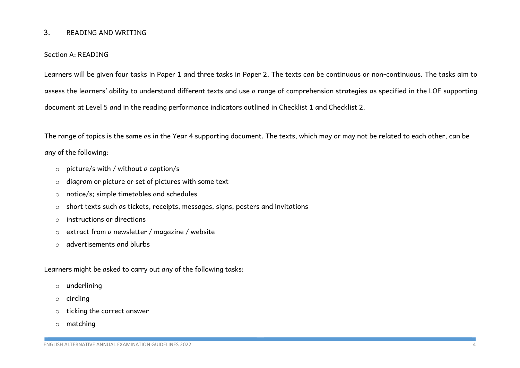## 3. READING AND WRITING

#### Section A: READING

Learners will be given four tasks in Paper 1 and three tasks in Paper 2. The texts can be continuous or non-continuous. The tasks aim to assess the learners' ability to understand different texts and use a range of comprehension strategies as specified in the LOF supporting document at Level 5 and in the reading performance indicators outlined in Checklist 1 and Checklist 2.

The range of topics is the same as in the Year 4 supporting document. The texts, which may or may not be related to each other, can be any of the following:

- o picture/s with / without a caption/s
- o diagram or picture or set of pictures with some text
- o notice/s; simple timetables and schedules
- o short texts such as tickets, receipts, messages, signs, posters and invitations
- o instructions or directions
- o extract from a newsletter / magazine / website
- o advertisements and blurbs

Learners might be asked to carry out any of the following tasks:

- o underlining
- o circling
- o ticking the correct answer
- o matching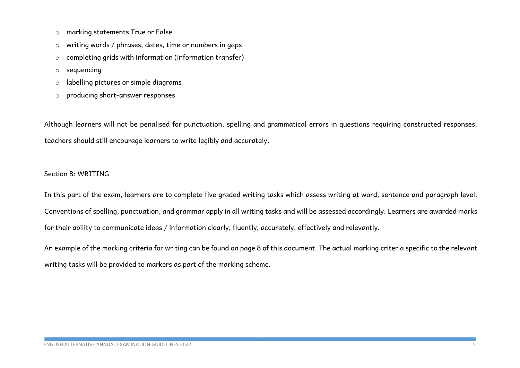- o marking statements True or False
- o writing words / phrases, dates, time or numbers in gaps
- o completing grids with information (information transfer)
- o sequencing
- o labelling pictures or simple diagrams
- o producing short-answer responses

Although learners will not be penalised for punctuation, spelling and grammatical errors in questions requiring constructed responses, teachers should still encourage learners to write legibly and accurately.

#### Section B: WRITING

In this part of the exam, learners are to complete five graded writing tasks which assess writing at word, sentence and paragraph level. Conventions of spelling, punctuation, and grammar apply in all writing tasks and will be assessed accordingly. Learners are awarded marks for their ability to communicate ideas / information clearly, fluently, accurately, effectively and relevantly.

An example of the marking criteria for writing can be found on page 8 of this document. The actual marking criteria specific to the relevant writing tasks will be provided to markers as part of the marking scheme.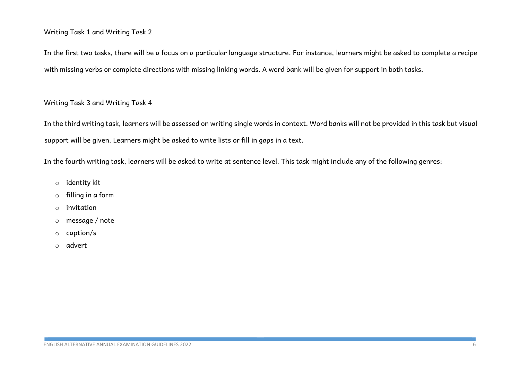### Writing Task 1 and Writing Task 2

In the first two tasks, there will be a focus on a particular language structure. For instance, learners might be asked to complete a recipe with missing verbs or complete directions with missing linking words. A word bank will be given for support in both tasks.

## Writing Task 3 and Writing Task 4

In the third writing task, learners will be assessed on writing single words in context. Word banks will not be provided in this task but visual support will be given. Learners might be asked to write lists or fill in gaps in a text.

In the fourth writing task, learners will be asked to write at sentence level. This task might include any of the following genres:

- o identity kit
- o filling in a form
- o invitation
- o message / note
- o caption/s
- o advert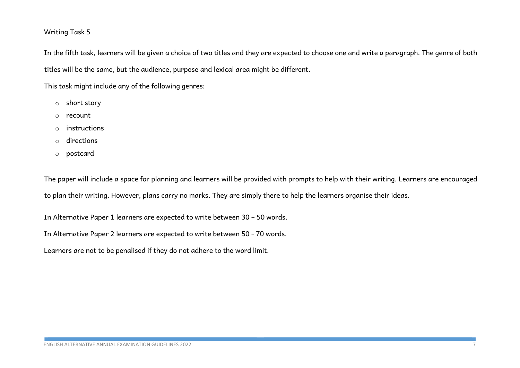## Writing Task 5

In the fifth task, learners will be given a choice of two titles and they are expected to choose one and write a paragraph. The genre of both titles will be the same, but the audience, purpose and lexical area might be different.

This task might include any of the following genres:

- o short story
- o recount
- o instructions
- o directions
- o postcard

The paper will include a space for planning and learners will be provided with prompts to help with their writing. Learners are encouraged to plan their writing. However, plans carry no marks. They are simply there to help the learners organise their ideas.

In Alternative Paper 1 learners are expected to write between 30 – 50 words.

In Alternative Paper 2 learners are expected to write between 50 - 70 words.

Learners are not to be penalised if they do not adhere to the word limit.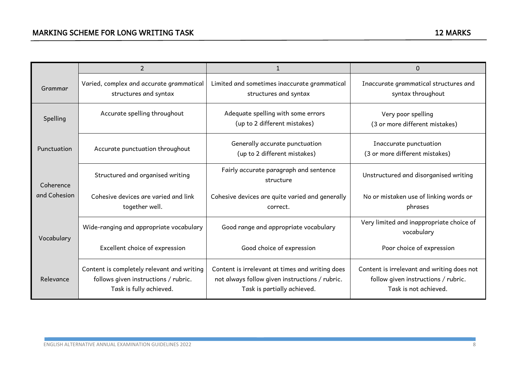|                           | $\overline{2}$                                                                                                |                                                                                                                                  | 0                                                                                                          |
|---------------------------|---------------------------------------------------------------------------------------------------------------|----------------------------------------------------------------------------------------------------------------------------------|------------------------------------------------------------------------------------------------------------|
| Grammar                   | Varied, complex and accurate grammatical<br>structures and syntax                                             | Limited and sometimes inaccurate grammatical<br>structures and syntax                                                            | Inaccurate grammatical structures and<br>syntax throughout                                                 |
| Spelling                  | Accurate spelling throughout                                                                                  | Adequate spelling with some errors<br>(up to 2 different mistakes)                                                               | Very poor spelling<br>(3 or more different mistakes)                                                       |
| Punctuation               | Accurate punctuation throughout                                                                               | Generally accurate punctuation<br>(up to 2 different mistakes)                                                                   | Inaccurate punctuation<br>(3 or more different mistakes)                                                   |
| Coherence<br>and Cohesion | Structured and organised writing                                                                              | Fairly accurate paragraph and sentence<br>structure                                                                              | Unstructured and disorganised writing                                                                      |
|                           | Cohesive devices are varied and link<br>together well.                                                        | Cohesive devices are quite varied and generally<br>correct.                                                                      | No or mistaken use of linking words or<br>phrases                                                          |
| Vocabulary                | Wide-ranging and appropriate vocabulary                                                                       | Good range and appropriate vocabulary                                                                                            | Very limited and inappropriate choice of<br>vocabulary                                                     |
|                           | Excellent choice of expression                                                                                | Good choice of expression                                                                                                        | Poor choice of expression                                                                                  |
| Relevance                 | Content is completely relevant and writing<br>follows given instructions / rubric.<br>Task is fully achieved. | Content is irrelevant at times and writing does<br>not always follow given instructions / rubric.<br>Task is partially achieved. | Content is irrelevant and writing does not<br>follow given instructions / rubric.<br>Task is not achieved. |